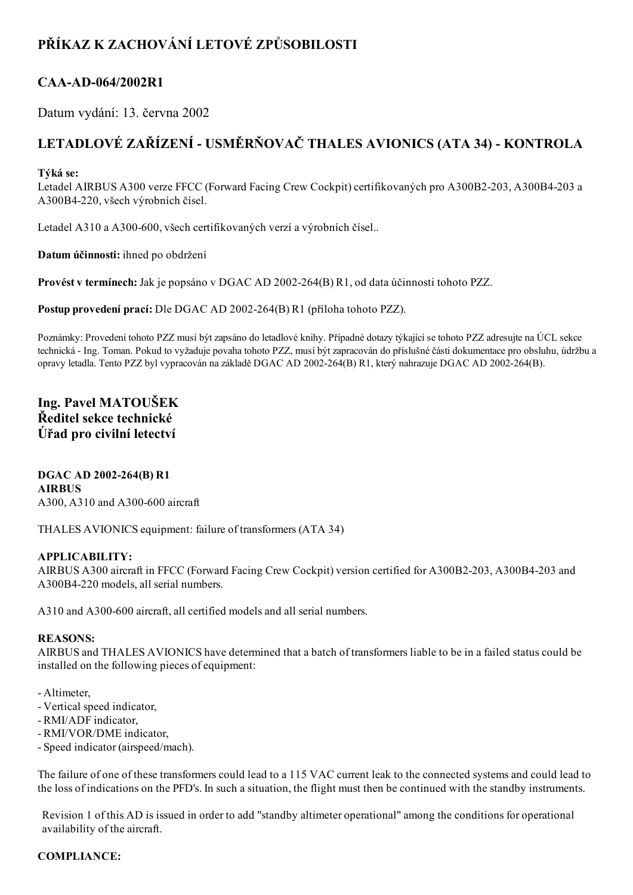# PŘÍKAZ K ZACHOVÁNÍ LETOVÉ ZPŮSOBILOSTI

## CAA-AD-064/2002R1

Datum vydání: 13. června 2002

# LETADLOVÉ ZAŘÍZENÍ - USMĚRŇOVAČ THALES AVIONICS (ATA 34) - KONTROLA

### Týká se:

Letadel AIRBUS A300 verze FFCC (Forward Facing Crew Cockpit) certifikovaných pro A300B2-203, A300B4-203 a A300B4220, všech výrobních čísel.

Letadel A310 a A300-600, všech certifikovaných verzí a výrobních čísel..

Datum účinnosti: ihned po obdržení

Provést v termínech: Jak je popsáno v DGAC AD 2002-264(B) R1, od data účinnosti tohoto PZZ.

Postup provedení prací: Dle DGAC AD 2002-264(B) R1 (příloha tohoto PZZ).

Poznámky: Provedení tohoto PZZ musí být zapsáno do letadlové knihy. Případné dotazy týkající se tohoto PZZ adresujte na ÚCL sekce technická Ing. Toman. Pokud to vyžaduje povaha tohoto PZZ, musí být zapracován do příslušné části dokumentace pro obsluhu, údržbu a opravy letadla. Tento PZZ byl vypracován na základě DGAC AD 2002264(B) R1, který nahrazuje DGAC AD 2002264(B).

## Ing. Pavel MATOUŠEK Ředitel sekce technické Úřad pro civilní letectví

#### DGAC AD 2002-264(B) R1 AIRBUS A300, A310 and A300-600 aircraft

THALES AVIONICS equipment: failure of transformers (ATA 34)

### APPLICABILITY:

AIRBUS A300 aircraft in FFCC (Forward Facing Crew Cockpit) version certified for A300B2-203, A300B4-203 and A300B4-220 models, all serial numbers.

A310 and A300-600 aircraft, all certified models and all serial numbers.

#### REASONS:

AIRBUS and THALES AVIONICS have determined that a batch of transformers liable to be in a failed status could be installed on the following pieces of equipment:

- Altimeter,
- Vertical speed indicator,
- RMI/ADF indicator,
- RMI/VOR/DME indicator,
- Speed indicator (airspeed/mach).

The failure of one of these transformers could lead to a 115 VAC current leak to the connected systems and could lead to the loss of indications on the PFD's. In such a situation, the flight must then be continued with the standby instruments.

Revision 1 of this AD is issued in order to add "standby altimeter operational" among the conditions for operational availability of the aircraft.

### COMPLIANCE: